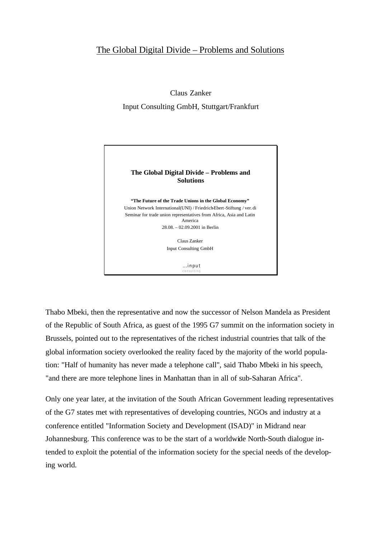## The Global Digital Divide – Problems and Solutions

Claus Zanker Input Consulting GmbH, Stuttgart/Frankfurt



Thabo Mbeki, then the representative and now the successor of Nelson Mandela as President of the Republic of South Africa, as guest of the 1995 G7 summit on the information society in Brussels, pointed out to the representatives of the richest industrial countries that talk of the global information society overlooked the reality faced by the majority of the world population: "Half of humanity has never made a telephone call", said Thabo Mbeki in his speech, "and there are more telephone lines in Manhattan than in all of sub-Saharan Africa".

Only one year later, at the invitation of the South African Government leading representatives of the G7 states met with representatives of developing countries, NGOs and industry at a conference entitled "Information Society and Development (ISAD)" in Midrand near Johannesburg. This conference was to be the start of a worldwide North-South dialogue intended to exploit the potential of the information society for the special needs of the developing world.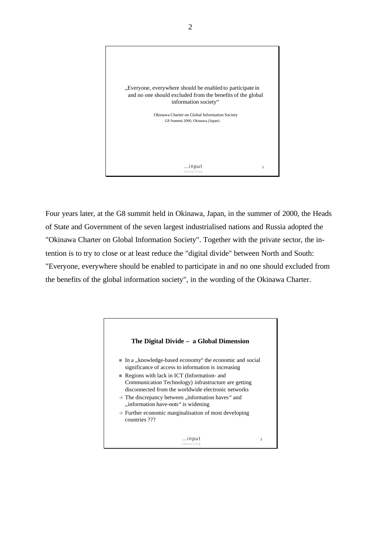

Four years later, at the G8 summit held in Okinawa, Japan, in the summer of 2000, the Heads of State and Government of the seven largest industrialised nations and Russia adopted the "Okinawa Charter on Global Information Society". Together with the private sector, the intention is to try to close or at least reduce the "digital divide" between North and South: "Everyone, everywhere should be enabled to participate in and no one should excluded from the benefits of the global information society", in the wording of the Okinawa Charter.

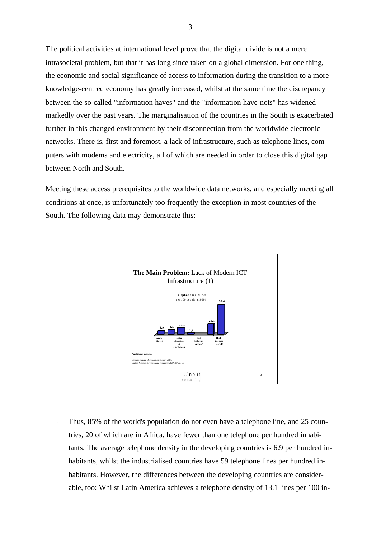The political activities at international level prove that the digital divide is not a mere intrasocietal problem, but that it has long since taken on a global dimension. For one thing, the economic and social significance of access to information during the transition to a more knowledge-centred economy has greatly increased, whilst at the same time the discrepancy between the so-called "information haves" and the "information have-nots" has widened markedly over the past years. The marginalisation of the countries in the South is exacerbated further in this changed environment by their disconnection from the worldwide electronic networks. There is, first and foremost, a lack of infrastructure, such as telephone lines, computers with modems and electricity, all of which are needed in order to close this digital gap between North and South.

Meeting these access prerequisites to the worldwide data networks, and especially meeting all conditions at once, is unfortunately too frequently the exception in most countries of the South. The following data may demonstrate this:



Thus, 85% of the world's population do not even have a telephone line, and 25 countries, 20 of which are in Africa, have fewer than one telephone per hundred inhabitants. The average telephone density in the developing countries is 6.9 per hundred inhabitants, whilst the industrialised countries have 59 telephone lines per hundred inhabitants. However, the differences between the developing countries are considerable, too: Whilst Latin America achieves a telephone density of 13.1 lines per 100 in-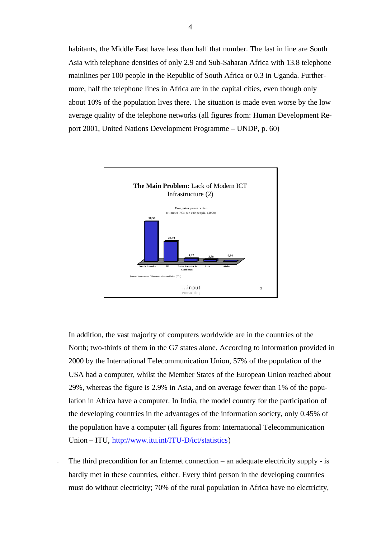habitants, the Middle East have less than half that number. The last in line are South Asia with telephone densities of only 2.9 and Sub-Saharan Africa with 13.8 telephone mainlines per 100 people in the Republic of South Africa or 0.3 in Uganda. Furthermore, half the telephone lines in Africa are in the capital cities, even though only about 10% of the population lives there. The situation is made even worse by the low average quality of the telephone networks (all figures from: Human Development Report 2001, United Nations Development Programme – UNDP, p. 60)



- In addition, the vast majority of computers worldwide are in the countries of the North; two-thirds of them in the G7 states alone. According to information provided in 2000 by the International Telecommunication Union, 57% of the population of the USA had a computer, whilst the Member States of the European Union reached about 29%, whereas the figure is 2.9% in Asia, and on average fewer than 1% of the population in Africa have a computer. In India, the model country for the participation of the developing countries in the advantages of the information society, only 0.45% of the population have a computer (all figures from: International Telecommunication Union – ITU, http://www.itu.int/ITU-D/ict/statistics)
- The third precondition for an Internet connection an adequate electricity supply is hardly met in these countries, either. Every third person in the developing countries must do without electricity; 70% of the rural population in Africa have no electricity,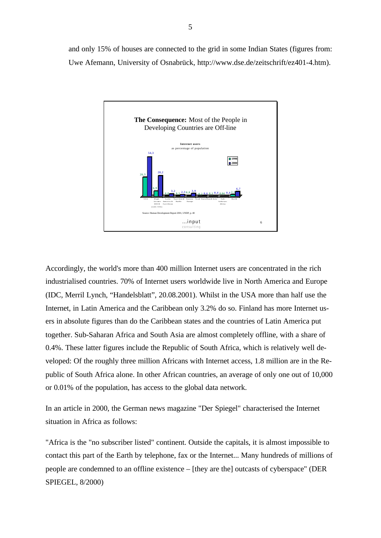and only 15% of houses are connected to the grid in some Indian States (figures from: Uwe Afemann, University of Osnabrück, http://www.dse.de/zeitschrift/ez401-4.htm).



Accordingly, the world's more than 400 million Internet users are concentrated in the rich industrialised countries. 70% of Internet users worldwide live in North America and Europe (IDC, Merril Lynch, "Handelsblatt", 20.08.2001). Whilst in the USA more than half use the Internet, in Latin America and the Caribbean only 3.2% do so. Finland has more Internet users in absolute figures than do the Caribbean states and the countries of Latin America put together. Sub-Saharan Africa and South Asia are almost completely offline, with a share of 0.4%. These latter figures include the Republic of South Africa, which is relatively well developed: Of the roughly three million Africans with Internet access, 1.8 million are in the Republic of South Africa alone. In other African countries, an average of only one out of 10,000 or 0.01% of the population, has access to the global data network.

In an article in 2000, the German news magazine "Der Spiegel" characterised the Internet situation in Africa as follows:

"Africa is the "no subscriber listed" continent. Outside the capitals, it is almost impossible to contact this part of the Earth by telephone, fax or the Internet... Many hundreds of millions of people are condemned to an offline existence – [they are the] outcasts of cyberspace" (DER SPIEGEL, 8/2000)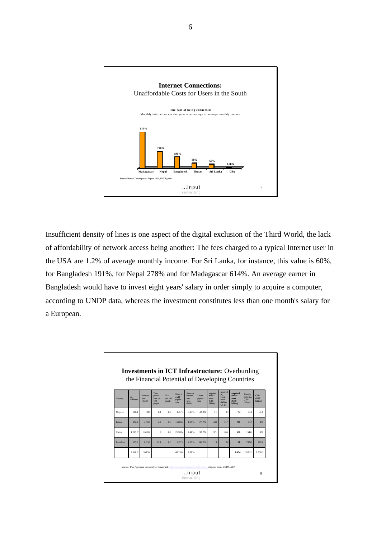

Insufficient density of lines is one aspect of the digital exclusion of the Third World, the lack of affordability of network access being another: The fees charged to a typical Internet user in the USA are 1.2% of average monthly income. For Sri Lanka, for instance, this value is 60%, for Bangladesh 191%, for Nepal 278% and for Madagascar 614%. An average earner in Bangladesh would have to invest eight years' salary in order simply to acquire a computer, according to UNDP data, whereas the investment constitutes less than one month's salary for a European.

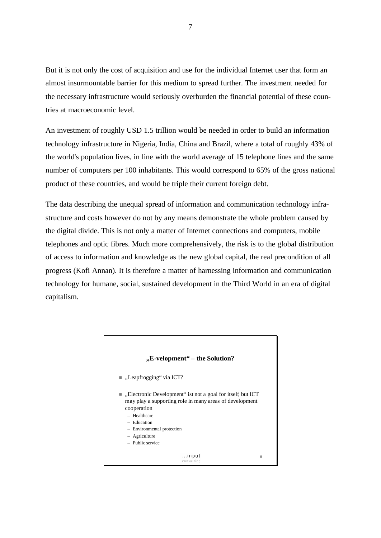But it is not only the cost of acquisition and use for the individual Internet user that form an almost insurmountable barrier for this medium to spread further. The investment needed for the necessary infrastructure would seriously overburden the financial potential of these countries at macroeconomic level.

An investment of roughly USD 1.5 trillion would be needed in order to build an information technology infrastructure in Nigeria, India, China and Brazil, where a total of roughly 43% of the world's population lives, in line with the world average of 15 telephone lines and the same number of computers per 100 inhabitants. This would correspond to 65% of the gross national product of these countries, and would be triple their current foreign debt.

The data describing the unequal spread of information and communication technology infrastructure and costs however do not by any means demonstrate the whole problem caused by the digital divide. This is not only a matter of Internet connections and computers, mobile telephones and optic fibres. Much more comprehensively, the risk is to the global distribution of access to information and knowledge as the new global capital, the real precondition of all progress (Kofi Annan). It is therefore a matter of harnessing information and communication technology for humane, social, sustained development in the Third World in an era of digital capitalism.

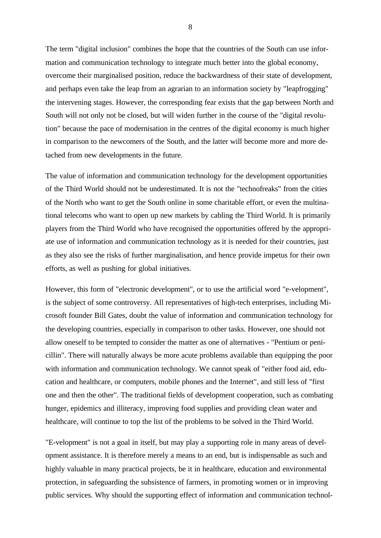The term "digital inclusion" combines the hope that the countries of the South can use information and communication technology to integrate much better into the global economy, overcome their marginalised position, reduce the backwardness of their state of development, and perhaps even take the leap from an agrarian to an information society by "leapfrogging" the intervening stages. However, the corresponding fear exists that the gap between North and South will not only not be closed, but will widen further in the course of the "digital revolution" because the pace of modernisation in the centres of the digital economy is much higher in comparison to the newcomers of the South, and the latter will become more and more detached from new developments in the future.

The value of information and communication technology for the development opportunities of the Third World should not be underestimated. It is not the "technofreaks" from the cities of the North who want to get the South online in some charitable effort, or even the multinational telecoms who want to open up new markets by cabling the Third World. It is primarily players from the Third World who have recognised the opportunities offered by the appropriate use of information and communication technology as it is needed for their countries, just as they also see the risks of further marginalisation, and hence provide impetus for their own efforts, as well as pushing for global initiatives.

However, this form of "electronic development", or to use the artificial word "e-velopment", is the subject of some controversy. All representatives of high-tech enterprises, including Microsoft founder Bill Gates, doubt the value of information and communication technology for the developing countries, especially in comparison to other tasks. However, one should not allow oneself to be tempted to consider the matter as one of alternatives - "Pentium or penicillin". There will naturally always be more acute problems available than equipping the poor with information and communication technology. We cannot speak of "either food aid, education and healthcare, or computers, mobile phones and the Internet", and still less of "first one and then the other". The traditional fields of development cooperation, such as combating hunger, epidemics and illiteracy, improving food supplies and providing clean water and healthcare, will continue to top the list of the problems to be solved in the Third World.

"E-velopment" is not a goal in itself, but may play a supporting role in many areas of development assistance. It is therefore merely a means to an end, but is indispensable as such and highly valuable in many practical projects, be it in healthcare, education and environmental protection, in safeguarding the subsistence of farmers, in promoting women or in improving public services. Why should the supporting effect of information and communication technol-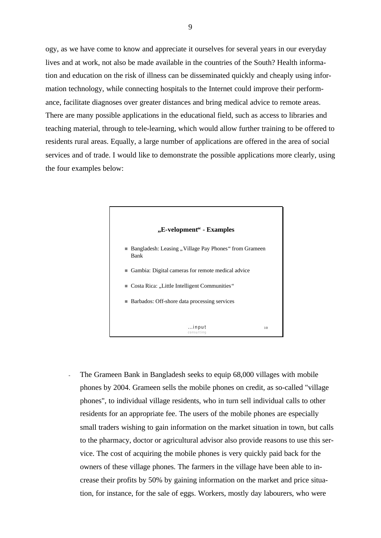ogy, as we have come to know and appreciate it ourselves for several years in our everyday lives and at work, not also be made available in the countries of the South? Health information and education on the risk of illness can be disseminated quickly and cheaply using information technology, while connecting hospitals to the Internet could improve their performance, facilitate diagnoses over greater distances and bring medical advice to remote areas. There are many possible applications in the educational field, such as access to libraries and teaching material, through to tele-learning, which would allow further training to be offered to residents rural areas. Equally, a large number of applications are offered in the area of social services and of trade. I would like to demonstrate the possible applications more clearly, using the four examples below:



The Grameen Bank in Bangladesh seeks to equip 68,000 villages with mobile phones by 2004. Grameen sells the mobile phones on credit, as so-called "village phones", to individual village residents, who in turn sell individual calls to other residents for an appropriate fee. The users of the mobile phones are especially small traders wishing to gain information on the market situation in town, but calls to the pharmacy, doctor or agricultural advisor also provide reasons to use this service. The cost of acquiring the mobile phones is very quickly paid back for the owners of these village phones. The farmers in the village have been able to increase their profits by 50% by gaining information on the market and price situation, for instance, for the sale of eggs. Workers, mostly day labourers, who were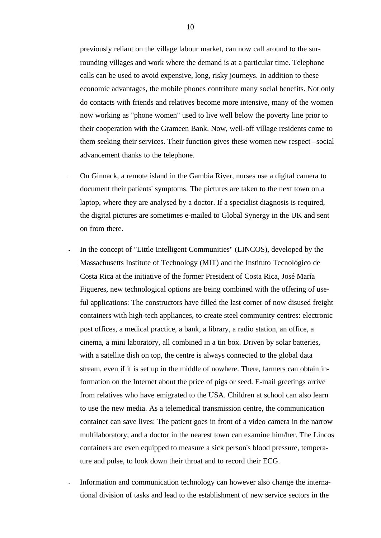previously reliant on the village labour market, can now call around to the surrounding villages and work where the demand is at a particular time. Telephone calls can be used to avoid expensive, long, risky journeys. In addition to these economic advantages, the mobile phones contribute many social benefits. Not only do contacts with friends and relatives become more intensive, many of the women now working as "phone women" used to live well below the poverty line prior to their cooperation with the Grameen Bank. Now, well-off village residents come to them seeking their services. Their function gives these women new respect –social advancement thanks to the telephone.

- On Ginnack, a remote island in the Gambia River, nurses use a digital camera to document their patients' symptoms. The pictures are taken to the next town on a laptop, where they are analysed by a doctor. If a specialist diagnosis is required, the digital pictures are sometimes e-mailed to Global Synergy in the UK and sent on from there.
- In the concept of "Little Intelligent Communities" (LINCOS), developed by the Massachusetts Institute of Technology (MIT) and the Instituto Tecnológico de Costa Rica at the initiative of the former President of Costa Rica, José María Figueres, new technological options are being combined with the offering of useful applications: The constructors have filled the last corner of now disused freight containers with high-tech appliances, to create steel community centres: electronic post offices, a medical practice, a bank, a library, a radio station, an office, a cinema, a mini laboratory, all combined in a tin box. Driven by solar batteries, with a satellite dish on top, the centre is always connected to the global data stream, even if it is set up in the middle of nowhere. There, farmers can obtain information on the Internet about the price of pigs or seed. E-mail greetings arrive from relatives who have emigrated to the USA. Children at school can also learn to use the new media. As a telemedical transmission centre, the communication container can save lives: The patient goes in front of a video camera in the narrow multilaboratory, and a doctor in the nearest town can examine him/her. The Lincos containers are even equipped to measure a sick person's blood pressure, temperature and pulse, to look down their throat and to record their ECG.
- Information and communication technology can however also change the international division of tasks and lead to the establishment of new service sectors in the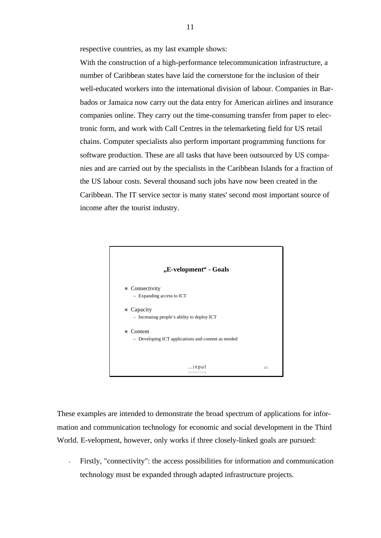respective countries, as my last example shows:

With the construction of a high-performance telecommunication infrastructure, a number of Caribbean states have laid the cornerstone for the inclusion of their well-educated workers into the international division of labour. Companies in Barbados or Jamaica now carry out the data entry for American airlines and insurance companies online. They carry out the time-consuming transfer from paper to electronic form, and work with Call Centres in the telemarketing field for US retail chains. Computer specialists also perform important programming functions for software production. These are all tasks that have been outsourced by US companies and are carried out by the specialists in the Caribbean Islands for a fraction of the US labour costs. Several thousand such jobs have now been created in the Caribbean. The IT service sector is many states' second most important source of income after the tourist industry.



These examples are intended to demonstrate the broad spectrum of applications for information and communication technology for economic and social development in the Third World. E-velopment, however, only works if three closely-linked goals are pursued:

- Firstly, "connectivity": the access possibilities for information and communication technology must be expanded through adapted infrastructure projects.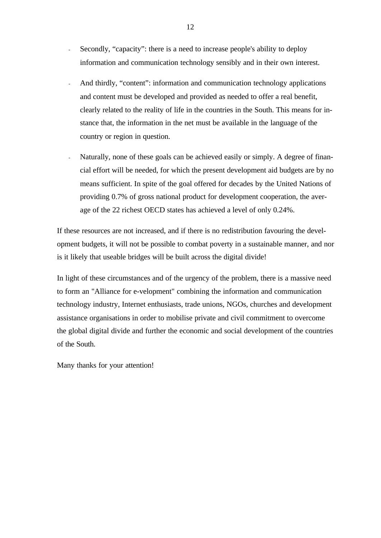- Secondly, "capacity": there is a need to increase people's ability to deploy information and communication technology sensibly and in their own interest.
- And thirdly, "content": information and communication technology applications and content must be developed and provided as needed to offer a real benefit, clearly related to the reality of life in the countries in the South. This means for instance that, the information in the net must be available in the language of the country or region in question.
- Naturally, none of these goals can be achieved easily or simply. A degree of financial effort will be needed, for which the present development aid budgets are by no means sufficient. In spite of the goal offered for decades by the United Nations of providing 0.7% of gross national product for development cooperation, the average of the 22 richest OECD states has achieved a level of only 0.24%.

If these resources are not increased, and if there is no redistribution favouring the development budgets, it will not be possible to combat poverty in a sustainable manner, and nor is it likely that useable bridges will be built across the digital divide!

In light of these circumstances and of the urgency of the problem, there is a massive need to form an "Alliance for e-velopment" combining the information and communication technology industry, Internet enthusiasts, trade unions, NGOs, churches and development assistance organisations in order to mobilise private and civil commitment to overcome the global digital divide and further the economic and social development of the countries of the South.

Many thanks for your attention!